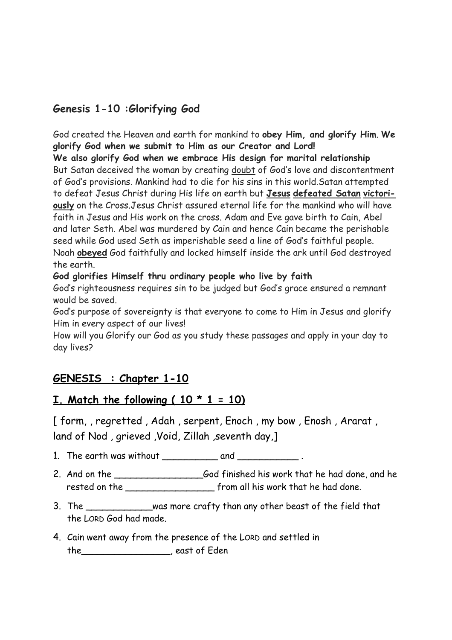## **Genesis 1-10 :Glorifying God**

God created the Heaven and earth for mankind to **obey Him, and glorify Him**. **We glorify God when we submit to Him as our Creator and Lord! We also glorify God when we embrace His design for marital relationship** But Satan deceived the woman by creating doubt of God's love and discontentment of God's provisions. Mankind had to die for his sins in this world.Satan attempted to defeat Jesus Christ during His life on earth but **Jesus defeated Satan victoriously** on the Cross.Jesus Christ assured eternal life for the mankind who will have faith in Jesus and His work on the cross. Adam and Eve gave birth to Cain, Abel and later Seth. Abel was murdered by Cain and hence Cain became the perishable seed while God used Seth as imperishable seed a line of God's faithful people. Noah **obeyed** God faithfully and locked himself inside the ark until God destroyed the earth.

#### **God glorifies Himself thru ordinary people who live by faith**

God's righteousness requires sin to be judged but God's grace ensured a remnant would be saved.

God's purpose of sovereignty is that everyone to come to Him in Jesus and glorify Him in every aspect of our lives!

How will you Glorify our God as you study these passages and apply in your day to day lives?

## **GENESIS : Chapter 1-10**

### **I.** Match the following  $(10 * 1 = 10)$

[ form, , regretted , Adah , serpent, Enoch , my bow , Enosh , Ararat , land of Nod , grieved ,Void, Zillah ,seventh day,]

- 1. The earth was without and  $\qquad \qquad$  .
- 2. And on the \_\_\_\_\_\_\_\_\_\_\_\_\_\_\_\_\_\_\_\_\_\_God finished his work that he had done, and he rested on the \_\_\_\_\_\_\_\_\_\_\_\_\_\_\_\_\_\_\_\_\_\_ from all his work that he had done.
- 3. The was more crafty than any other beast of the field that the LORD God had made.
- 4. Cain went away from the presence of the LORD and settled in the\_\_\_\_\_\_\_\_\_\_\_\_\_\_\_\_, east of Eden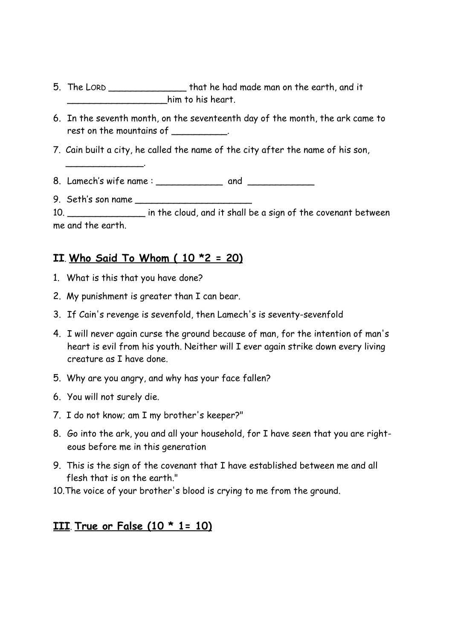- 5. The LORD \_\_\_\_\_\_\_\_\_\_\_\_\_\_ that he had made man on the earth, and it \_\_\_\_\_\_\_\_\_\_\_\_\_\_\_\_\_\_him to his heart.
- 6. In the seventh month, on the seventeenth day of the month, the ark came to rest on the mountains of \_\_\_\_\_\_\_\_\_\_.
- 7. Cain built a city, he called the name of the city after the name of his son,
- 8. Lamech's wife name : \_\_\_\_\_\_\_\_\_\_\_\_ and \_\_\_\_\_\_\_\_\_\_\_\_
- 9. Seth's son name \_\_\_\_\_\_\_\_\_\_\_\_\_\_\_\_\_\_\_\_\_

| 10                |  | in the cloud, and it shall be a sign of the covenant between |  |
|-------------------|--|--------------------------------------------------------------|--|
| me and the earth. |  |                                                              |  |

## **II**. **Who Said To Whom ( 10 \*2 = 20)**

1. What is this that you have done?

\_\_\_\_\_\_\_\_\_\_\_\_\_\_.

- 2. My punishment is greater than I can bear.
- 3. If Cain's revenge is sevenfold, then Lamech's is seventy-sevenfold
- 4. I will never again curse the ground because of man, for the intention of man's heart is evil from his youth. Neither will I ever again strike down every living creature as I have done.
- 5. Why are you angry, and why has your face fallen?
- 6. You will not surely die.
- 7. I do not know; am I my brother's keeper?"
- 8. Go into the ark, you and all your household, for I have seen that you are righteous before me in this generation
- 9. This is the sign of the covenant that I have established between me and all flesh that is on the earth."
- 10.The voice of your brother's blood is crying to me from the ground.

### **III**. **True or False (10 \* 1= 10)**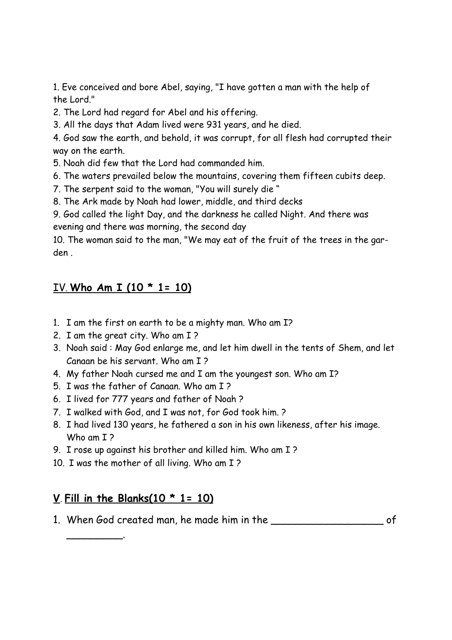1. Eve conceived and bore Abel, saying, "I have gotten a man with the help of the Lord."

2. The Lord had regard for Abel and his offering.

3. All the days that Adam lived were 931 years, and he died.

4. God saw the earth, and behold, it was corrupt, for all flesh had corrupted their way on the earth.

5. Noah did few that the Lord had commanded him.

6. The waters prevailed below the mountains, covering them fifteen cubits deep.

7. The serpent said to the woman, "You will surely die "

8. The Ark made by Noah had lower, middle, and third decks

9. God called the light Day, and the darkness he called Night. And there was evening and there was morning, the second day

10. The woman said to the man, "We may eat of the fruit of the trees in the garden .

# IV. **Who Am I (10 \* 1= 10)**

- 1. I am the first on earth to be a mighty man. Who am I?
- 2. I am the great city. Who am I ?
- 3. Noah said : May God enlarge me, and let him dwell in the tents of Shem, and let Canaan be his servant. Who am I ?
- 4. My father Noah cursed me and I am the youngest son. Who am I?
- 5. I was the father of Canaan. Who am I ?
- 6. I lived for 777 years and father of Noah ?
- 7. I walked with God, and I was not, for God took him. ?
- 8. I had lived 130 years, he fathered a son in his own likeness, after his image. Who am I ?
- 9. I rose up against his brother and killed him. Who am I ?
- 10. I was the mother of all living. Who am I ?

# **V**. **Fill in the Blanks(10 \* 1= 10)**

 $\overline{\phantom{a}}$ 

1. When God created man, he made him in the **constant of the constant of** of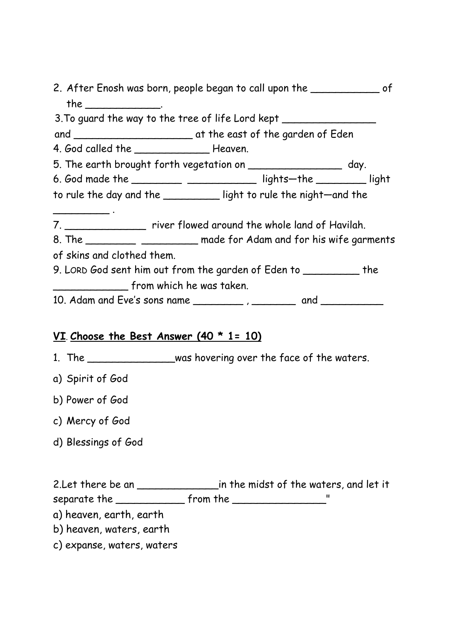|                                                      | 2. After Enosh was born, people began to call upon the _______________ of        |  |
|------------------------------------------------------|----------------------------------------------------------------------------------|--|
| the $\overline{\phantom{a} \phantom{a} \phantom{a}}$ |                                                                                  |  |
|                                                      | 3. To guard the way to the tree of life Lord kept ______________________________ |  |
|                                                      |                                                                                  |  |
| 4. God called the _________________ Heaven.          |                                                                                  |  |
|                                                      | 5. The earth brought forth vegetation on _________________ day.                  |  |
|                                                      | 6. God made the __________ ________________ lights-the _________ light           |  |
|                                                      | to rule the day and the ____________ light to rule the night-and the             |  |
|                                                      | 7. _________________ river flowed around the whole land of Havilah.              |  |
|                                                      | 8. The ________________________ made for Adam and for his wife garments          |  |
| of skins and clothed them.                           |                                                                                  |  |
|                                                      | 9. LORD God sent him out from the garden of Eden to __________ the               |  |
| ___________________ from which he was taken.         |                                                                                  |  |
|                                                      |                                                                                  |  |

### **VI**. **Choose the Best Answer (40 \* 1= 10)**

- 1. The \_\_\_\_\_\_\_\_\_\_\_\_\_\_\_was hovering over the face of the waters.
- a) Spirit of God
- b) Power of God
- c) Mercy of God
- d) Blessings of God

2.Let there be an \_\_\_\_\_\_\_\_\_\_\_\_\_in the midst of the waters, and let it separate the \_\_\_\_\_\_\_\_\_\_\_\_\_\_ from the \_\_\_\_\_\_\_\_\_\_\_\_\_\_\_\_\_\_\_\_\_\_\_"

- a) heaven, earth, earth
- b) heaven, waters, earth
- c) expanse, waters, waters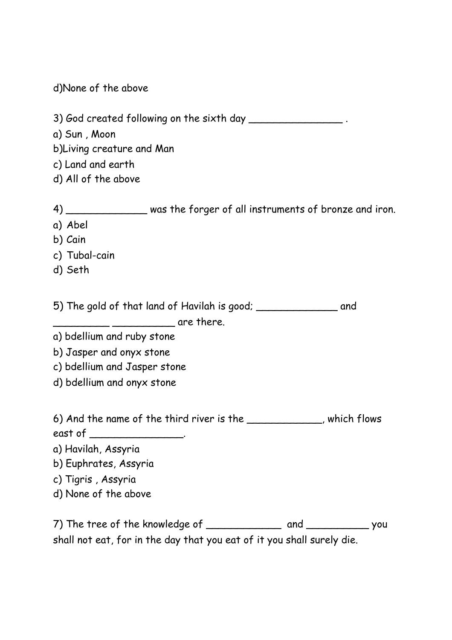d)None of the above

3) God created following on the sixth day \_\_\_\_\_\_\_\_\_\_\_\_\_\_\_

a) Sun , Moon

b)Living creature and Man

c) Land and earth

d) All of the above

| 4)                         | was the forger of all instruments of bronze and iron.                             |     |
|----------------------------|-----------------------------------------------------------------------------------|-----|
| a) Abel                    |                                                                                   |     |
| b) Cain                    |                                                                                   |     |
| c) Tubal-cain              |                                                                                   |     |
| d) Seth                    |                                                                                   |     |
|                            | $5)$ The gold of that land of Havilah is good; $\rule{1em}{0.15mm}$<br>are there. | and |
| a) bdellium and ruby stone |                                                                                   |     |

b) Jasper and onyx stone

c) bdellium and Jasper stone

d) bdellium and onyx stone

6) And the name of the third river is the \_\_\_\_\_\_\_\_\_\_\_\_, which flows east of  $\qquad \qquad \ldots$ 

a) Havilah, Assyria

b) Euphrates, Assyria

c) Tigris , Assyria

d) None of the above

7) The tree of the knowledge of \_\_\_\_\_\_\_\_\_\_\_\_\_\_\_\_ and \_\_\_\_\_\_\_\_\_\_\_\_\_\_ you shall not eat, for in the day that you eat of it you shall surely die.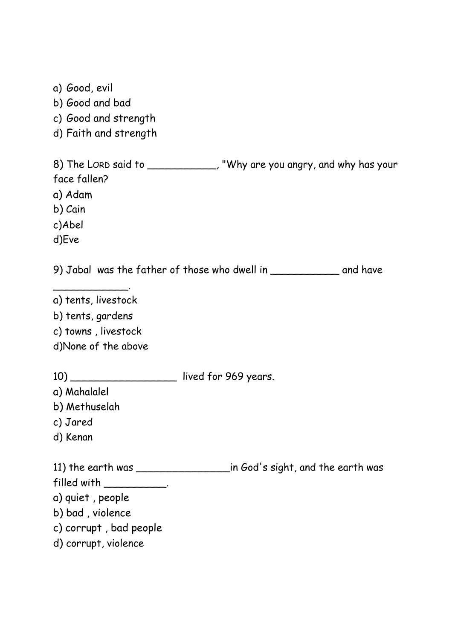a) Good, evil b) Good and bad c) Good and strength d) Faith and strength 8) The LORD said to \_\_\_\_\_\_\_\_\_\_\_, "Why are you angry, and why has your face fallen? a) Adam b) Cain c)Abel d)Eve 9) Jabal was the father of those who dwell in \_\_\_\_\_\_\_\_\_\_\_ and have \_\_\_\_\_\_\_\_\_\_\_\_. a) tents, livestock b) tents, gardens c) towns , livestock d)None of the above 10) \_\_\_\_\_\_\_\_\_\_\_\_\_\_\_\_\_\_\_\_\_\_ lived for 969 years. a) Mahalalel b) Methuselah c) Jared d) Kenan 11) the earth was \_\_\_\_\_\_\_\_\_\_\_\_\_\_\_in God's sight, and the earth was filled with \_\_\_\_\_\_\_\_\_\_. a) quiet , people b) bad , violence c) corrupt , bad people d) corrupt, violence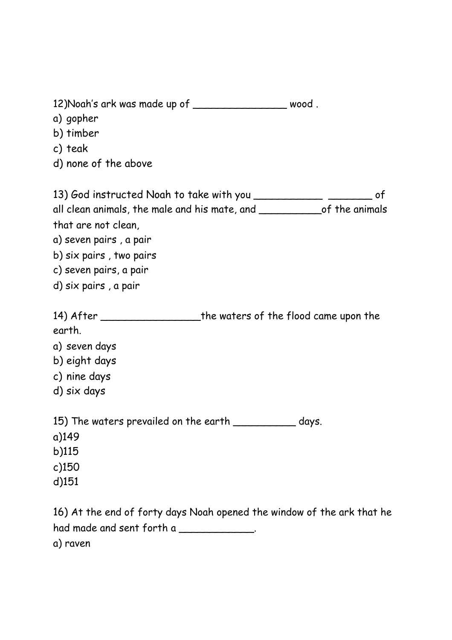12)Noah's ark was made up of \_\_\_\_\_\_\_\_\_\_\_\_\_\_\_ wood .

- a) gopher
- b) timber
- c) teak
- d) none of the above

13) God instructed Noah to take with you \_\_\_\_\_\_\_\_\_\_\_\_\_ \_\_\_\_\_\_\_\_\_ of all clean animals, the male and his mate, and \_\_\_\_\_\_\_\_\_\_of the animals

that are not clean,

- a) seven pairs , a pair
- b) six pairs , two pairs
- c) seven pairs, a pair
- d) six pairs , a pair

14) After \_\_\_\_\_\_\_\_\_\_\_\_\_\_\_\_\_\_\_\_\_the waters of the flood came upon the

- earth.
- a) seven days
- b) eight days
- c) nine days
- d) six days

15) The waters prevailed on the earth \_\_\_\_\_\_\_\_\_\_ days.

- a)149
- b)115
- c)150
- d)151

16) At the end of forty days Noah opened the window of the ark that he had made and sent forth a \_\_\_\_\_\_\_\_\_\_\_\_. a) raven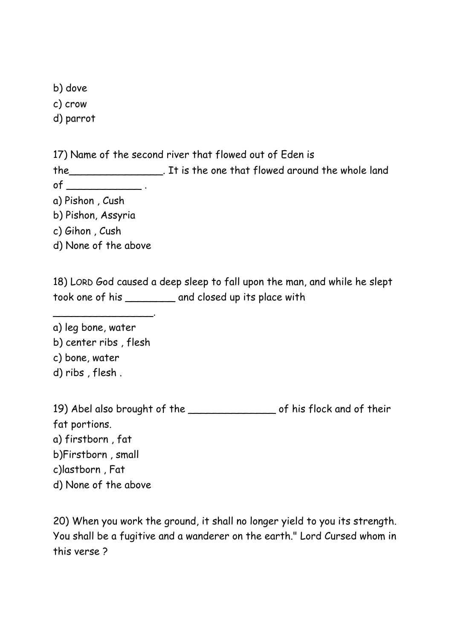b) dove

c) crow

d) parrot

17) Name of the second river that flowed out of Eden is

the\_\_\_\_\_\_\_\_\_\_\_\_\_\_\_. It is the one that flowed around the whole land of  $\_\_\_\_\_\$  .

a) Pishon , Cush

b) Pishon, Assyria

c) Gihon , Cush

d) None of the above

18) LORD God caused a deep sleep to fall upon the man, and while he slept took one of his \_\_\_\_\_\_\_\_ and closed up its place with

a) leg bone, water

b) center ribs , flesh

\_\_\_\_\_\_\_\_\_\_\_\_\_\_\_\_.

c) bone, water

d) ribs , flesh .

19) Abel also brought of the \_\_\_\_\_\_\_\_\_\_\_\_\_\_ of his flock and of their fat portions. a) firstborn , fat b)Firstborn , small c)lastborn , Fat d) None of the above

20) When you work the ground, it shall no longer yield to you its strength. You shall be a fugitive and a wanderer on the earth." Lord Cursed whom in this verse ?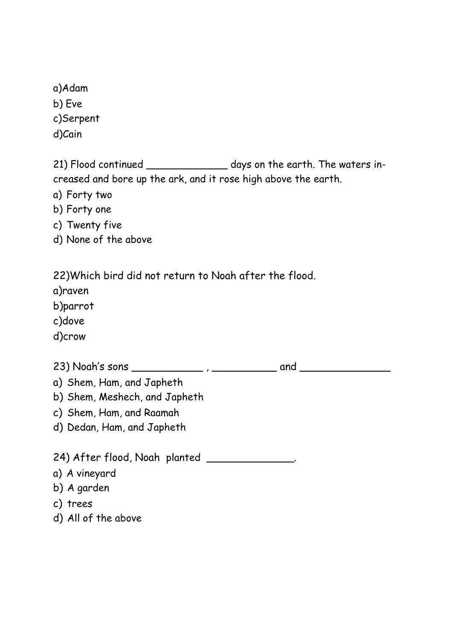a)Adam b) Eve c)Serpent d)Cain

21) Flood continued \_\_\_\_\_\_\_\_\_\_\_\_\_\_\_ days on the earth. The waters increased and bore up the ark, and it rose high above the earth.

- a) Forty two
- b) Forty one
- c) Twenty five
- d) None of the above

22)Which bird did not return to Noah after the flood.

a)raven

b)parrot

c)dove

d)crow

23) Noah's sons \_\_\_\_\_\_\_\_\_\_\_ , \_\_\_\_\_\_\_\_\_\_ and \_\_\_\_\_\_\_\_\_\_\_\_\_\_

- a) Shem, Ham, and Japheth
- b) Shem, Meshech, and Japheth
- c) Shem, Ham, and Raamah
- d) Dedan, Ham, and Japheth

24) After flood, Noah planted \_\_\_\_\_\_\_\_\_\_\_

- a) A vineyard
- b) A garden
- c) trees
- d) All of the above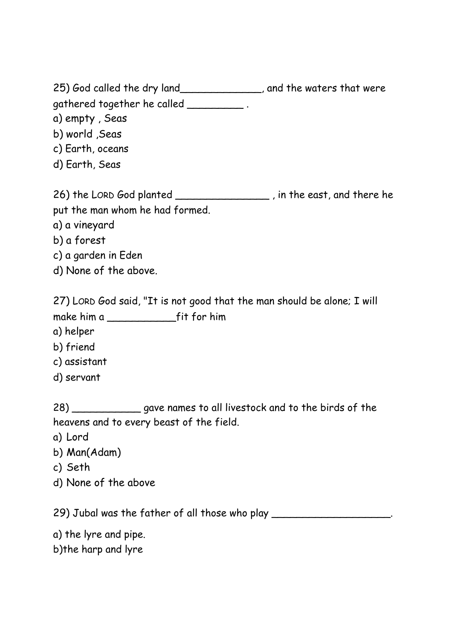25) God called the dry land\_\_\_\_\_\_\_\_\_\_\_\_\_, and the waters that were gathered together he called \_\_\_\_\_\_\_\_\_\_\_. a) empty , Seas b) world ,Seas c) Earth, oceans

d) Earth, Seas

26) the LORD God planted \_\_\_\_\_\_\_\_\_\_\_\_\_\_\_\_\_\_, in the east, and there he put the man whom he had formed.

- a) a vineyard
- b) a forest
- c) a garden in Eden
- d) None of the above.

27) LORD God said, "It is not good that the man should be alone; I will

make him a \_\_\_\_\_\_\_\_\_\_\_fit for him

- a) helper
- b) friend
- c) assistant
- d) servant

28) \_\_\_\_\_\_\_\_\_\_\_\_ gave names to all livestock and to the birds of the heavens and to every beast of the field.

- a) Lord
- b) Man(Adam)
- c) Seth
- d) None of the above

29) Jubal was the father of all those who play \_\_\_\_\_\_\_\_\_\_\_\_\_\_\_\_\_\_\_\_\_\_\_\_\_\_\_\_\_\_\_\_\_

a) the lyre and pipe.

b)the harp and lyre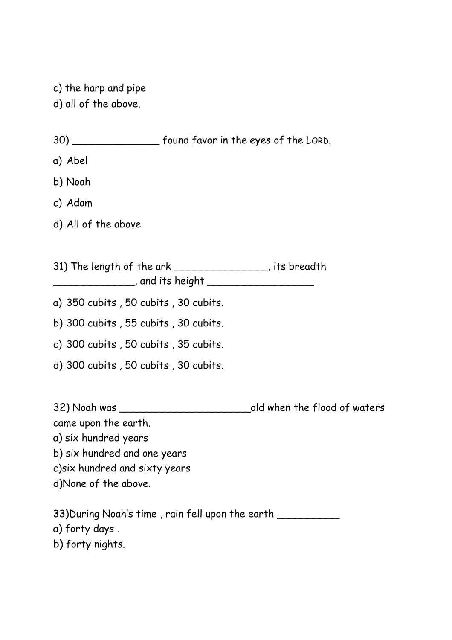c) the harp and pipe

d) all of the above.

| 30) _______________________ found favor in the eyes of the LORD.                                                       |                              |
|------------------------------------------------------------------------------------------------------------------------|------------------------------|
| a) Abel                                                                                                                |                              |
| b) Noah                                                                                                                |                              |
| c) Adam                                                                                                                |                              |
| d) All of the above                                                                                                    |                              |
| 31) The length of the ark _________________, its breadth<br>__________________, and its height _______________________ |                              |
| a) 350 cubits, 50 cubits, 30 cubits.                                                                                   |                              |
| b) $300$ cubits, $55$ cubits, $30$ cubits.                                                                             |                              |
| c) 300 cubits, 50 cubits, 35 cubits.                                                                                   |                              |
| d) 300 cubits, 50 cubits, 30 cubits.                                                                                   |                              |
| came upon the earth.<br>a) six hundred years                                                                           | old when the flood of waters |
| b) six hundred and one years                                                                                           |                              |
| c)six hundred and sixty years                                                                                          |                              |
| d)None of the above.                                                                                                   |                              |
| 33) During Noah's time, rain fell upon the earth ___________<br>a) forty days.                                         |                              |

b) forty nights.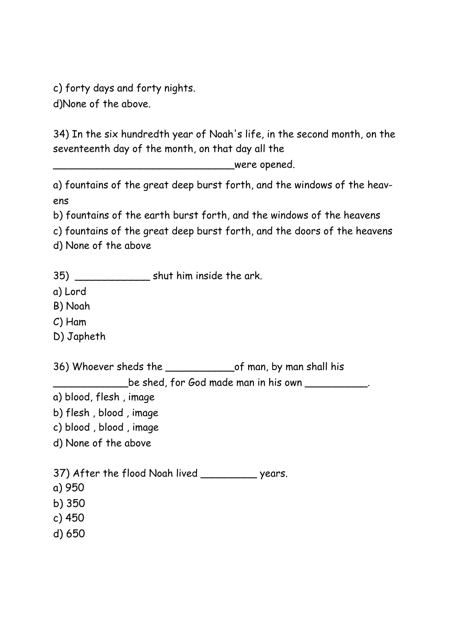c) forty days and forty nights. d)None of the above.

34) In the six hundredth year of Noah's life, in the second month, on the seventeenth day of the month, on that day all the

\_\_\_\_\_\_\_\_\_\_\_\_\_\_\_\_\_\_\_\_\_\_\_\_\_\_\_\_\_were opened.

a) fountains of the great deep burst forth, and the windows of the heavens

b) fountains of the earth burst forth, and the windows of the heavens

c) fountains of the great deep burst forth, and the doors of the heavens d) None of the above

35) \_\_\_\_\_\_\_\_\_\_\_\_ shut him inside the ark.

a) Lord

B) Noah

C) Ham

D) Japheth

36) Whoever sheds the \_\_\_\_\_\_\_\_\_\_\_of man, by man shall his

be shed, for God made man in his own \_\_\_\_\_\_\_\_\_\_.

a) blood, flesh , image

b) flesh , blood , image

c) blood , blood , image

d) None of the above

37) After the flood Noah lived years.

a) 950

b) 350

c) 450

d) 650